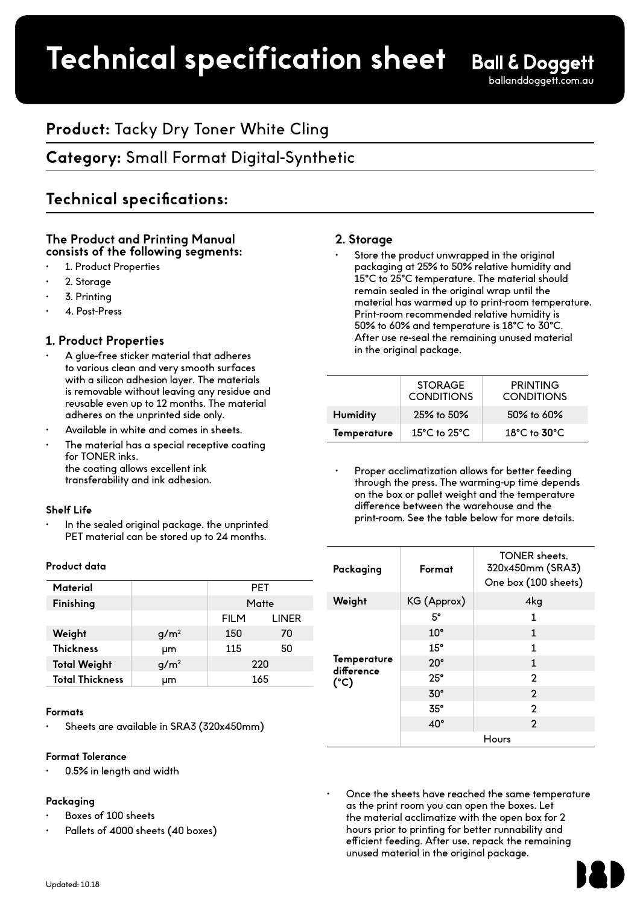# **Product spec sheet Technical specification sheet**

# **Product:** Tacky Dry Toner White Cling

# **Category:** Small Format Digital-Synthetic

# **Technical specifications:**

## **The Product and Printing Manual consists of the following segments:**

- 1. Product Properties
- 2. Storage
- 3. Printing
- 4. Post-Press

## **1. Product Properties**

- A glue-free sticker material that adheres to various clean and very smooth surfaces with a silicon adhesion layer. The materials is removable without leaving any residue and reusable even up to 12 months. The material adheres on the unprinted side only.
- Available in white and comes in sheets.
- The material has a special receptive coating for TONER inks, the coating allows excellent ink transferability and ink adhesion.

#### **Shelf Life**

In the sealed original package, the unprinted PET material can be stored up to 24 months.

#### **Product data**

| Material               |                  | <b>PET</b>  |              |
|------------------------|------------------|-------------|--------------|
| Finishing              |                  | Matte       |              |
|                        |                  | <b>FILM</b> | <b>LINER</b> |
| Weight                 | g/m <sup>2</sup> | 150         | 70           |
| <b>Thickness</b>       | μm               | 115         | 50           |
| <b>Total Weight</b>    | $q/m^2$          | 220         |              |
| <b>Total Thickness</b> | μm               | 165         |              |

#### **Formats**

Sheets are available in SRA3 (320x450mm)

#### **Format Tolerance**

• 0.5% in length and width

#### **Packaging**

- Boxes of 100 sheets
- Pallets of 4000 sheets (40 boxes)

## **2. Storage**

Store the product unwrapped in the original packaging at 25% to 50% relative humidity and 15**°**C to 25**°**C temperature. The material should remain sealed in the original wrap until the material has warmed up to print-room temperature. Print-room recommended relative humidity is 50% to 60% and temperature is 18**°**C to 30**°**C. After use re-seal the remaining unused material in the original package.

|                 | <b>STORAGE</b><br><b>CONDITIONS</b> | <b>PRINTING</b><br><b>CONDITIONS</b> |
|-----------------|-------------------------------------|--------------------------------------|
| <b>Humidity</b> | $25\%$ to $50\%$                    | 50% to 60%                           |
| Temperature     | $15^{\circ}$ C to $25^{\circ}$ C    | $18^{\circ}$ C to $30^{\circ}$ C     |

Proper acclimatization allows for better feeding through the press. The warming-up time depends on the box or pallet weight and the temperature difference between the warehouse and the print-room. See the table below for more details.

| Packaging                         | Format       | <b>TONER</b> sheets.<br>320x450mm (SRA3)<br>One box (100 sheets) |  |
|-----------------------------------|--------------|------------------------------------------------------------------|--|
| Weight                            | KG (Approx)  | 4kg                                                              |  |
| Temperature<br>difference<br>(°C) | 5°           | 1                                                                |  |
|                                   | $10^{\circ}$ | $\mathbf{1}$                                                     |  |
|                                   | 15°          | 1                                                                |  |
|                                   | $20^{\circ}$ | 1                                                                |  |
|                                   | $25^\circ$   | 2                                                                |  |
|                                   | $30^\circ$   | $\overline{2}$                                                   |  |
|                                   | 35°          | $\mathbf{c}$                                                     |  |
|                                   | $40^\circ$   | $\mathcal{P}$                                                    |  |
|                                   | Hours        |                                                                  |  |

• Once the sheets have reached the same temperature as the print room you can open the boxes. Let the material acclimatize with the open box for 2 hours prior to printing for better runnability and efficient feeding. After use, repack the remaining unused material in the original package.